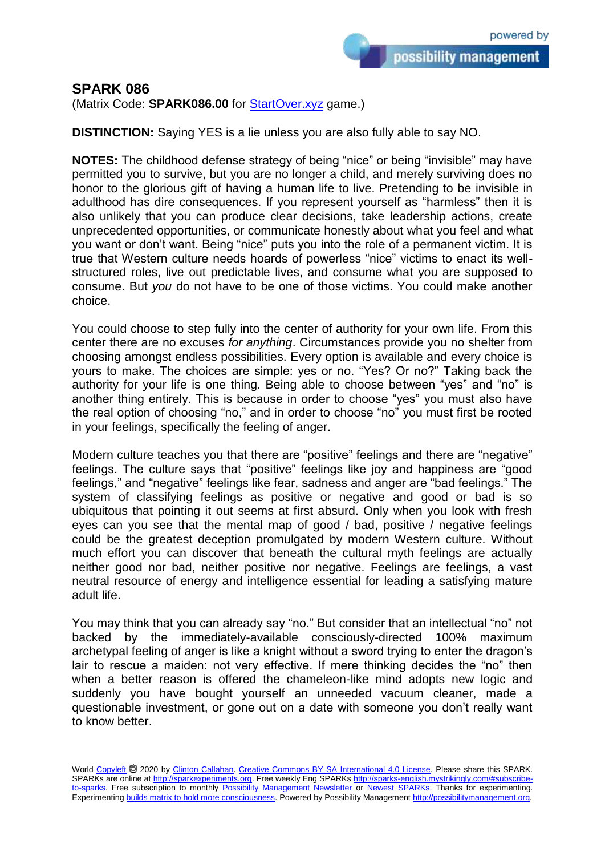## **SPARK 086**

(Matrix Code: **SPARK086.00** for [StartOver.xyz](https://startoverxyz.mystrikingly.com/) game.)

**DISTINCTION:** Saying YES is a lie unless you are also fully able to say NO.

**NOTES:** The childhood defense strategy of being "nice" or being "invisible" may have permitted you to survive, but you are no longer a child, and merely surviving does no honor to the glorious gift of having a human life to live. Pretending to be invisible in adulthood has dire consequences. If you represent yourself as "harmless" then it is also unlikely that you can produce clear decisions, take leadership actions, create unprecedented opportunities, or communicate honestly about what you feel and what you want or don't want. Being "nice" puts you into the role of a permanent victim. It is true that Western culture needs hoards of powerless "nice" victims to enact its wellstructured roles, live out predictable lives, and consume what you are supposed to consume. But *you* do not have to be one of those victims. You could make another choice.

You could choose to step fully into the center of authority for your own life. From this center there are no excuses *for anything*. Circumstances provide you no shelter from choosing amongst endless possibilities. Every option is available and every choice is yours to make. The choices are simple: yes or no. "Yes? Or no?" Taking back the authority for your life is one thing. Being able to choose between "yes" and "no" is another thing entirely. This is because in order to choose "yes" you must also have the real option of choosing "no," and in order to choose "no" you must first be rooted in your feelings, specifically the feeling of anger.

Modern culture teaches you that there are "positive" feelings and there are "negative" feelings. The culture says that "positive" feelings like joy and happiness are "good feelings," and "negative" feelings like fear, sadness and anger are "bad feelings." The system of classifying feelings as positive or negative and good or bad is so ubiquitous that pointing it out seems at first absurd. Only when you look with fresh eyes can you see that the mental map of good / bad, positive / negative feelings could be the greatest deception promulgated by modern Western culture. Without much effort you can discover that beneath the cultural myth feelings are actually neither good nor bad, neither positive nor negative. Feelings are feelings, a vast neutral resource of energy and intelligence essential for leading a satisfying mature adult life.

You may think that you can already say "no." But consider that an intellectual "no" not backed by the immediately-available consciously-directed 100% maximum archetypal feeling of anger is like a knight without a sword trying to enter the dragon's lair to rescue a maiden: not very effective. If mere thinking decides the "no" then when a better reason is offered the chameleon-like mind adopts new logic and suddenly you have bought yourself an unneeded vacuum cleaner, made a questionable investment, or gone out on a date with someone you don't really want to know better.

World [Copyleft](https://en.wikipedia.org/wiki/Copyleft) @ 2020 by [Clinton Callahan.](http://clintoncallahan.mystrikingly.com/) [Creative Commons BY SA International 4.0 License.](https://creativecommons.org/licenses/by-sa/4.0/) Please share this SPARK. SPARKs are online at [http://sparkexperiments.org.](http://sparks-english.mystrikingly.com/) Free weekly Eng SPARKs [http://sparks-english.mystrikingly.com/#subscribe](http://sparks-english.mystrikingly.com/#subscribe-to-sparks)[to-sparks.](http://sparks-english.mystrikingly.com/#subscribe-to-sparks) Free subscription to monthly [Possibility Management Newsletter](https://possibilitymanagement.org/news/) or [Newest SPARKs.](https://www.clintoncallahan.org/newsletter-1) Thanks for experimenting. Experimentin[g builds matrix to hold more consciousness.](http://spaceport.mystrikingly.com/) Powered by Possibility Managemen[t http://possibilitymanagement.org.](http://possibilitymanagement.org/)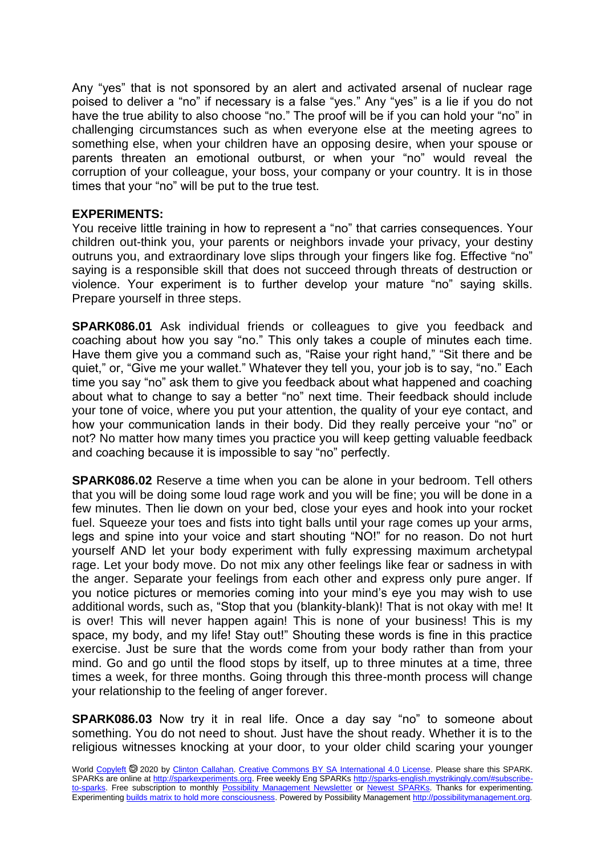Any "yes" that is not sponsored by an alert and activated arsenal of nuclear rage poised to deliver a "no" if necessary is a false "yes." Any "yes" is a lie if you do not have the true ability to also choose "no." The proof will be if you can hold your "no" in challenging circumstances such as when everyone else at the meeting agrees to something else, when your children have an opposing desire, when your spouse or parents threaten an emotional outburst, or when your "no" would reveal the corruption of your colleague, your boss, your company or your country. It is in those times that your "no" will be put to the true test.

## **EXPERIMENTS:**

You receive little training in how to represent a "no" that carries consequences. Your children out-think you, your parents or neighbors invade your privacy, your destiny outruns you, and extraordinary love slips through your fingers like fog. Effective "no" saying is a responsible skill that does not succeed through threats of destruction or violence. Your experiment is to further develop your mature "no" saying skills. Prepare yourself in three steps.

**SPARK086.01** Ask individual friends or colleagues to give you feedback and coaching about how you say "no." This only takes a couple of minutes each time. Have them give you a command such as, "Raise your right hand," "Sit there and be quiet," or, "Give me your wallet." Whatever they tell you, your job is to say, "no." Each time you say "no" ask them to give you feedback about what happened and coaching about what to change to say a better "no" next time. Their feedback should include your tone of voice, where you put your attention, the quality of your eye contact, and how your communication lands in their body. Did they really perceive your "no" or not? No matter how many times you practice you will keep getting valuable feedback and coaching because it is impossible to say "no" perfectly.

**SPARK086.02** Reserve a time when you can be alone in your bedroom. Tell others that you will be doing some loud rage work and you will be fine; you will be done in a few minutes. Then lie down on your bed, close your eyes and hook into your rocket fuel. Squeeze your toes and fists into tight balls until your rage comes up your arms, legs and spine into your voice and start shouting "NO!" for no reason. Do not hurt yourself AND let your body experiment with fully expressing maximum archetypal rage. Let your body move. Do not mix any other feelings like fear or sadness in with the anger. Separate your feelings from each other and express only pure anger. If you notice pictures or memories coming into your mind's eye you may wish to use additional words, such as, "Stop that you (blankity-blank)! That is not okay with me! It is over! This will never happen again! This is none of your business! This is my space, my body, and my life! Stay out!" Shouting these words is fine in this practice exercise. Just be sure that the words come from your body rather than from your mind. Go and go until the flood stops by itself, up to three minutes at a time, three times a week, for three months. Going through this three-month process will change your relationship to the feeling of anger forever.

**SPARK086.03** Now try it in real life. Once a day say "no" to someone about something. You do not need to shout. Just have the shout ready. Whether it is to the religious witnesses knocking at your door, to your older child scaring your younger

World [Copyleft](https://en.wikipedia.org/wiki/Copyleft) <sup>®</sup> 2020 by [Clinton Callahan.](http://clintoncallahan.mystrikingly.com/) [Creative Commons BY SA International 4.0 License.](https://creativecommons.org/licenses/by-sa/4.0/) Please share this SPARK. SPARKs are online at [http://sparkexperiments.org.](http://sparks-english.mystrikingly.com/) Free weekly Eng SPARKs [http://sparks-english.mystrikingly.com/#subscribe](http://sparks-english.mystrikingly.com/#subscribe-to-sparks)[to-sparks.](http://sparks-english.mystrikingly.com/#subscribe-to-sparks) Free subscription to monthly [Possibility Management Newsletter](https://possibilitymanagement.org/news/) or [Newest SPARKs.](https://www.clintoncallahan.org/newsletter-1) Thanks for experimenting. Experimentin[g builds matrix to hold more consciousness.](http://spaceport.mystrikingly.com/) Powered by Possibility Managemen[t http://possibilitymanagement.org.](http://possibilitymanagement.org/)